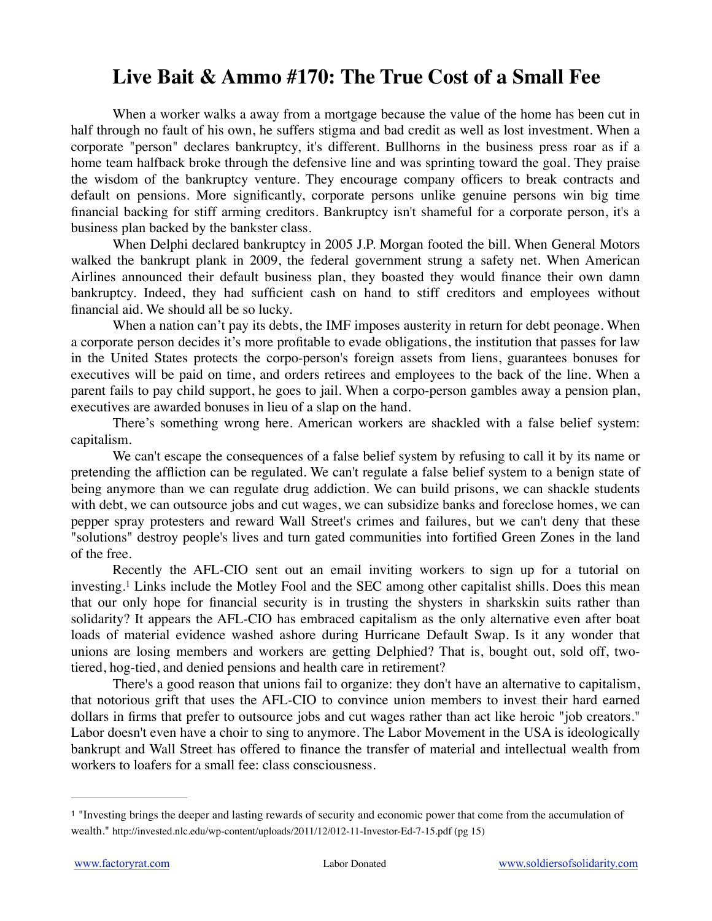## **Live Bait & Ammo #170: The True Cost of a Small Fee**

When a worker walks a away from a mortgage because the value of the home has been cut in half through no fault of his own, he suffers stigma and bad credit as well as lost investment. When a corporate "person" declares bankruptcy, it's different. Bullhorns in the business press roar as if a home team halfback broke through the defensive line and was sprinting toward the goal. They praise the wisdom of the bankruptcy venture. They encourage company officers to break contracts and default on pensions. More significantly, corporate persons unlike genuine persons win big time financial backing for stiff arming creditors. Bankruptcy isn't shameful for a corporate person, it's a business plan backed by the bankster class.

When Delphi declared bankruptcy in 2005 J.P. Morgan footed the bill. When General Motors walked the bankrupt plank in 2009, the federal government strung a safety net. When American Airlines announced their default business plan, they boasted they would finance their own damn bankruptcy. Indeed, they had sufficient cash on hand to stiff creditors and employees without financial aid. We should all be so lucky.

When a nation can't pay its debts, the IMF imposes austerity in return for debt peonage. When a corporate person decides it's more profitable to evade obligations, the institution that passes for law in the United States protects the corpo-person's foreign assets from liens, guarantees bonuses for executives will be paid on time, and orders retirees and employees to the back of the line. When a parent fails to pay child support, he goes to jail. When a corpo-person gambles away a pension plan, executives are awarded bonuses in lieu of a slap on the hand.

There's something wrong here. American workers are shackled with a false belief system: capitalism.

We can't escape the consequences of a false belief system by refusing to call it by its name or pretending the affliction can be regulated. We can't regulate a false belief system to a benign state of being anymore than we can regulate drug addiction. We can build prisons, we can shackle students with debt, we can outsource jobs and cut wages, we can subsidize banks and foreclose homes, we can pepper spray protesters and reward Wall Street's crimes and failures, but we can't deny that these "solutions" destroy people's lives and turn gated communities into fortified Green Zones in the land of the free.

<span id="page-0-1"></span>Recently the AFL-CIO sent out an email inviting workers to sign up for a tutorial on investing.<sup>1</sup>Links include the Motley Fool and the SEC among other capitalist shills. Does this mean that our only hope for financial security is in trusting the shysters in sharkskin suits rather than solidarity? It appears the AFL-CIO has embraced capitalism as the only alternative even after boat loads of material evidence washed ashore during Hurricane Default Swap. Is it any wonder that unions are losing members and workers are getting Delphied? That is, bought out, sold off, twotiered, hog-tied, and denied pensions and health care in retirement?

There's a good reason that unions fail to organize: they don't have an alternative to capitalism, that notorious grift that uses the AFL-CIO to convince union members to invest their hard earned dollars in firms that prefer to outsource jobs and cut wages rather than act like heroic "job creators." Labor doesn't even have a choir to sing to anymore. The Labor Movement in the USA is ideologically bankrupt and Wall Street has offered to finance the transfer of material and intellectual wealth from workers to loafers for a small fee: class consciousness.

<span id="page-0-0"></span><sup>&</sup>quot;Investing brings the deeper and lasting rewards of security and economic power that come from the accumulation of [1](#page-0-1) wealth." http://invested.nlc.edu/wp-content/uploads/2011/12/012-11-Investor-Ed-7-15.pdf (pg 15)